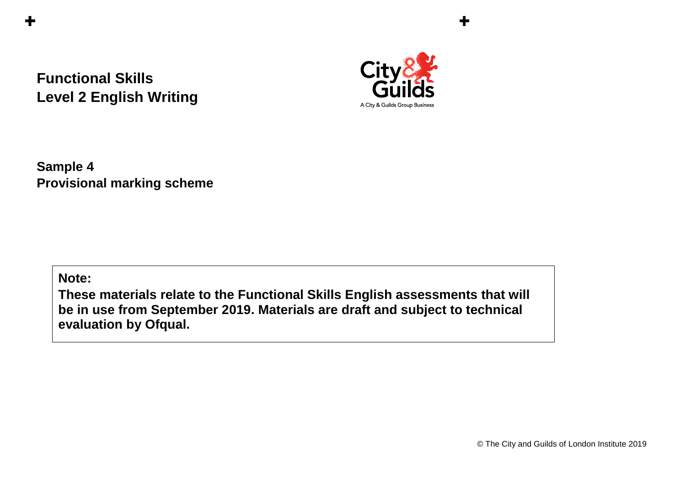## **Functional Skills Level 2 English Writing**



╉

**Sample 4 Provisional marking scheme** 

**Note:**

**These materials relate to the Functional Skills English assessments that will be in use from September 2019. Materials are draft and subject to technical evaluation by Ofqual.**

© The City and Guilds of London Institute 2019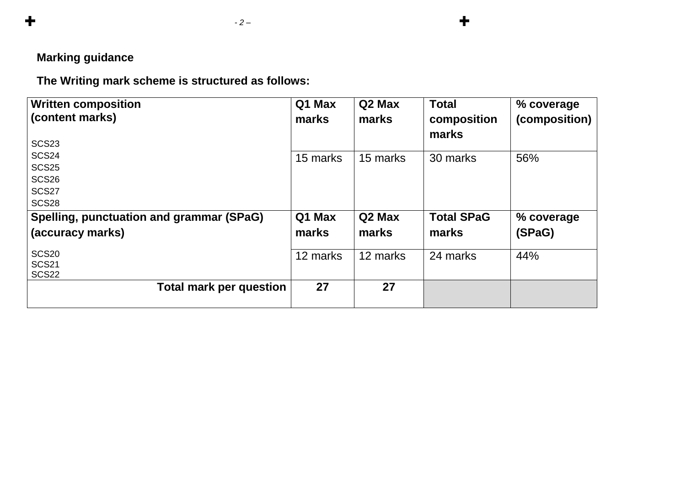## **Marking guidance**

 $\div$ 

**The Writing mark scheme is structured as follows:**

| <b>Written composition</b>               | Q1 Max   | Q2 Max             | <b>Total</b>      | % coverage    |
|------------------------------------------|----------|--------------------|-------------------|---------------|
| (content marks)                          | marks    | marks              | composition       | (composition) |
| <b>SCS23</b>                             |          |                    | marks             |               |
| <b>SCS24</b>                             | 15 marks | 15 marks           | 30 marks          | 56%           |
| <b>SCS25</b>                             |          |                    |                   |               |
| <b>SCS26</b>                             |          |                    |                   |               |
| SCS <sub>27</sub>                        |          |                    |                   |               |
| <b>SCS28</b>                             |          |                    |                   |               |
| Spelling, punctuation and grammar (SPaG) | Q1 Max   | Q <sub>2</sub> Max | <b>Total SPaG</b> | % coverage    |
| (accuracy marks)                         | marks    | marks              | marks             | (SPaG)        |
|                                          |          |                    |                   |               |
| <b>SCS20</b><br><b>SCS21</b>             | 12 marks | 12 marks           | 24 marks          | 44%           |
| <b>SCS22</b>                             |          |                    |                   |               |
| <b>Total mark per question</b>           | 27       | 27                 |                   |               |
|                                          |          |                    |                   |               |

 $\ddagger$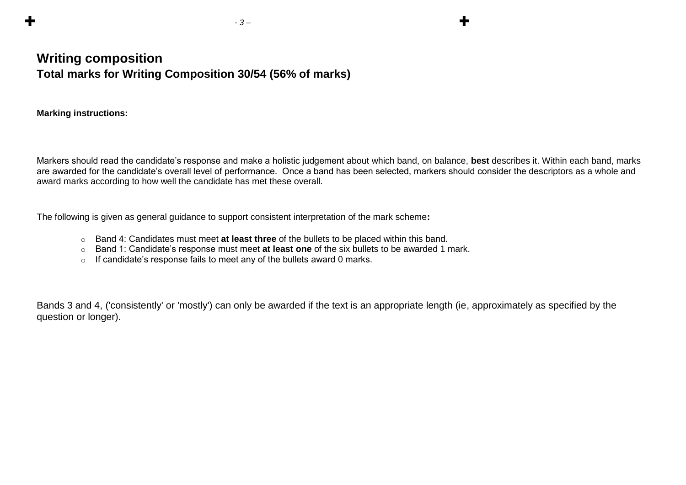## **Writing composition Total marks for Writing Composition 30/54 (56% of marks)**

**Marking instructions:**

Markers should read the candidate's response and make a holistic judgement about which band, on balance, **best** describes it. Within each band, marks are awarded for the candidate's overall level of performance. Once a band has been selected, markers should consider the descriptors as a whole and award marks according to how well the candidate has met these overall.

The following is given as general guidance to support consistent interpretation of the mark scheme**:**

 *- 3 –* 

- o Band 4: Candidates must meet **at least three** of the bullets to be placed within this band.
- o Band 1: Candidate's response must meet **at least one** of the six bullets to be awarded 1 mark.
- o If candidate's response fails to meet any of the bullets award 0 marks.

Bands 3 and 4, ('consistently' or 'mostly') can only be awarded if the text is an appropriate length (ie, approximately as specified by the question or longer).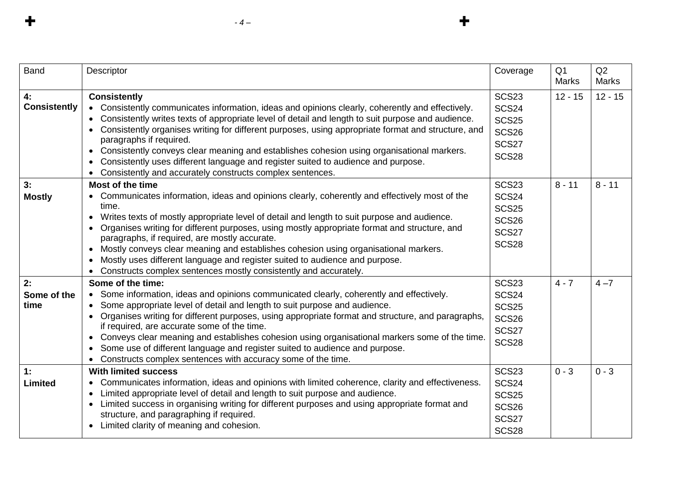| <b>Band</b>               | Descriptor                                                                                                                                                                                                                                                                                                                                                                                                                                                                                                                                                                                                                                                       | Coverage                                                                                     | Q <sub>1</sub><br><b>Marks</b> | Q2<br><b>Marks</b> |
|---------------------------|------------------------------------------------------------------------------------------------------------------------------------------------------------------------------------------------------------------------------------------------------------------------------------------------------------------------------------------------------------------------------------------------------------------------------------------------------------------------------------------------------------------------------------------------------------------------------------------------------------------------------------------------------------------|----------------------------------------------------------------------------------------------|--------------------------------|--------------------|
| 4:<br><b>Consistently</b> | <b>Consistently</b><br>• Consistently communicates information, ideas and opinions clearly, coherently and effectively.<br>Consistently writes texts of appropriate level of detail and length to suit purpose and audience.<br>$\bullet$<br>Consistently organises writing for different purposes, using appropriate format and structure, and<br>$\bullet$<br>paragraphs if required.<br>Consistently conveys clear meaning and establishes cohesion using organisational markers.<br>$\bullet$<br>Consistently uses different language and register suited to audience and purpose.<br>$\bullet$<br>Consistently and accurately constructs complex sentences. | <b>SCS23</b><br><b>SCS24</b><br><b>SCS25</b><br><b>SCS26</b><br><b>SCS27</b><br><b>SCS28</b> | $12 - 15$                      | $12 - 15$          |
| 3:<br><b>Mostly</b>       | Most of the time<br>Communicates information, ideas and opinions clearly, coherently and effectively most of the<br>time.<br>Writes texts of mostly appropriate level of detail and length to suit purpose and audience.<br>$\bullet$<br>Organises writing for different purposes, using mostly appropriate format and structure, and<br>paragraphs, if required, are mostly accurate.<br>Mostly conveys clear meaning and establishes cohesion using organisational markers.<br>$\bullet$<br>Mostly uses different language and register suited to audience and purpose.<br>$\bullet$<br>Constructs complex sentences mostly consistently and accurately.       | <b>SCS23</b><br><b>SCS24</b><br><b>SCS25</b><br><b>SCS26</b><br>SCS27<br><b>SCS28</b>        | $8 - 11$                       | $8 - 11$           |
| 2:<br>Some of the<br>time | Some of the time:<br>• Some information, ideas and opinions communicated clearly, coherently and effectively.<br>Some appropriate level of detail and length to suit purpose and audience.<br>$\bullet$<br>Organises writing for different purposes, using appropriate format and structure, and paragraphs,<br>$\bullet$<br>if required, are accurate some of the time.<br>Conveys clear meaning and establishes cohesion using organisational markers some of the time.<br>$\bullet$<br>Some use of different language and register suited to audience and purpose.<br>$\bullet$<br>Constructs complex sentences with accuracy some of the time.               | <b>SCS23</b><br><b>SCS24</b><br><b>SCS25</b><br><b>SCS26</b><br>SCS27<br><b>SCS28</b>        | $4 - 7$                        | $4 - 7$            |
| 1:<br><b>Limited</b>      | <b>With limited success</b><br>Communicates information, ideas and opinions with limited coherence, clarity and effectiveness.<br>$\bullet$<br>Limited appropriate level of detail and length to suit purpose and audience.<br>$\bullet$<br>Limited success in organising writing for different purposes and using appropriate format and<br>$\bullet$<br>structure, and paragraphing if required.<br>Limited clarity of meaning and cohesion.<br>$\bullet$                                                                                                                                                                                                      | <b>SCS23</b><br><b>SCS24</b><br><b>SCS25</b><br><b>SCS26</b><br>SCS27<br><b>SCS28</b>        | $0 - 3$                        | $0 - 3$            |

 $\div$ 

 $\div$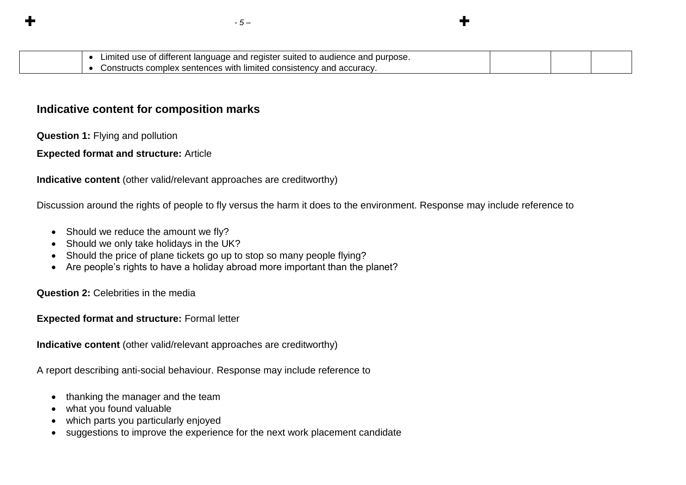| purpose.<br>.ımıted<br>≧ano ∶<br>reaister<br>, audience.<br>and<br>use<br>t language.<br>∵suited<br>† different |  |  |
|-----------------------------------------------------------------------------------------------------------------|--|--|
| with<br>consistency<br>accuracy<br>, limiter<br>−an⊂<br>, complex<br>sentences<br>.                             |  |  |

## **Indicative content for composition marks**

**Question 1:** Flying and pollution

**Expected format and structure:** Article

**Indicative content** (other valid/relevant approaches are creditworthy)

Discussion around the rights of people to fly versus the harm it does to the environment. Response may include reference to

- Should we reduce the amount we fly?
- Should we only take holidays in the UK?
- Should the price of plane tickets go up to stop so many people flying?
- Are people's rights to have a holiday abroad more important than the planet?

**Question 2:** Celebrities in the media

**Expected format and structure:** Formal letter

**Indicative content** (other valid/relevant approaches are creditworthy)

A report describing anti-social behaviour. Response may include reference to

- thanking the manager and the team
- what you found valuable
- which parts you particularly enjoyed
- suggestions to improve the experience for the next work placement candidate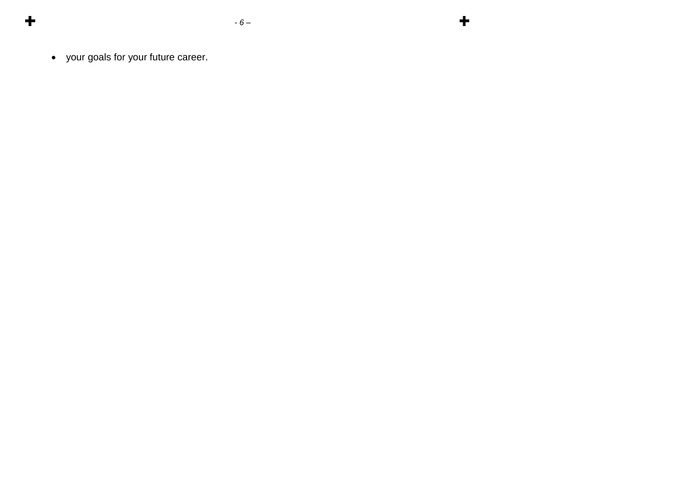$\div$ 

your goals for your future career.

 $\ddot{\textbf{r}}$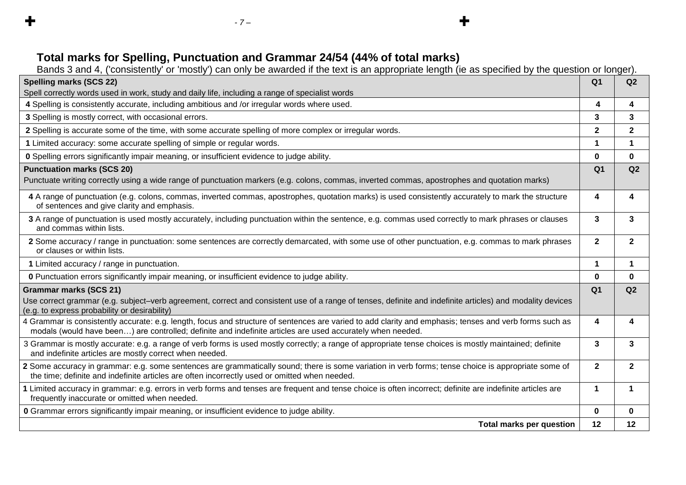Bands 3 and 4, ('consistently' or 'mostly') can only be awarded if the text is an appropriate length (ie as specified by the question or longer).

 $\div$ 

| <b>Spelling marks (SCS 22)</b>                                                                                                                                                                                                                                        | Q <sub>1</sub>          | Q2             |
|-----------------------------------------------------------------------------------------------------------------------------------------------------------------------------------------------------------------------------------------------------------------------|-------------------------|----------------|
| Spell correctly words used in work, study and daily life, including a range of specialist words                                                                                                                                                                       |                         |                |
| 4 Spelling is consistently accurate, including ambitious and /or irregular words where used.                                                                                                                                                                          | $\overline{\mathbf{4}}$ | 4              |
| 3 Spelling is mostly correct, with occasional errors.                                                                                                                                                                                                                 | 3                       | 3              |
| 2 Spelling is accurate some of the time, with some accurate spelling of more complex or irregular words.                                                                                                                                                              | $\mathbf{2}$            | $\mathbf 2$    |
| 1 Limited accuracy: some accurate spelling of simple or regular words.                                                                                                                                                                                                | 1                       | 1              |
| <b>0</b> Spelling errors significantly impair meaning, or insufficient evidence to judge ability.                                                                                                                                                                     | $\bf{0}$                | $\mathbf 0$    |
| <b>Punctuation marks (SCS 20)</b>                                                                                                                                                                                                                                     | Q <sub>1</sub>          | Q2             |
| Punctuate writing correctly using a wide range of punctuation markers (e.g. colons, commas, inverted commas, apostrophes and quotation marks)                                                                                                                         |                         |                |
| 4 A range of punctuation (e.g. colons, commas, inverted commas, apostrophes, quotation marks) is used consistently accurately to mark the structure<br>of sentences and give clarity and emphasis.                                                                    | 4                       | 4              |
| 3 A range of punctuation is used mostly accurately, including punctuation within the sentence, e.g. commas used correctly to mark phrases or clauses<br>and commas within lists.                                                                                      | 3                       | 3              |
| 2 Some accuracy / range in punctuation: some sentences are correctly demarcated, with some use of other punctuation, e.g. commas to mark phrases<br>or clauses or within lists.                                                                                       | $\mathbf{2}$            | $\mathbf{2}$   |
| 1 Limited accuracy / range in punctuation.                                                                                                                                                                                                                            | $\blacktriangleleft$    | 1              |
| <b>0</b> Punctuation errors significantly impair meaning, or insufficient evidence to judge ability.                                                                                                                                                                  | $\bf{0}$                | $\bf{0}$       |
| <b>Grammar marks (SCS 21)</b><br>Use correct grammar (e.g. subject–verb agreement, correct and consistent use of a range of tenses, definite and indefinite articles) and modality devices<br>(e.g. to express probability or desirability)                           | Q <sub>1</sub>          | Q2             |
| 4 Grammar is consistently accurate: e.g. length, focus and structure of sentences are varied to add clarity and emphasis; tenses and verb forms such as<br>modals (would have been) are controlled; definite and indefinite articles are used accurately when needed. | 4                       | 4              |
| 3 Grammar is mostly accurate: e.g. a range of verb forms is used mostly correctly; a range of appropriate tense choices is mostly maintained; definite<br>and indefinite articles are mostly correct when needed.                                                     | 3                       | 3              |
| 2 Some accuracy in grammar: e.g. some sentences are grammatically sound; there is some variation in verb forms; tense choice is appropriate some of<br>the time; definite and indefinite articles are often incorrectly used or omitted when needed.                  | $\overline{2}$          | $\overline{2}$ |
| 1 Limited accuracy in grammar: e.g. errors in verb forms and tenses are frequent and tense choice is often incorrect; definite are indefinite articles are<br>frequently inaccurate or omitted when needed.                                                           | $\mathbf{1}$            | $\mathbf 1$    |
| O Grammar errors significantly impair meaning, or insufficient evidence to judge ability.                                                                                                                                                                             | 0                       | $\bf{0}$       |
| <b>Total marks per question</b>                                                                                                                                                                                                                                       | 12                      | 12             |

 $\div$